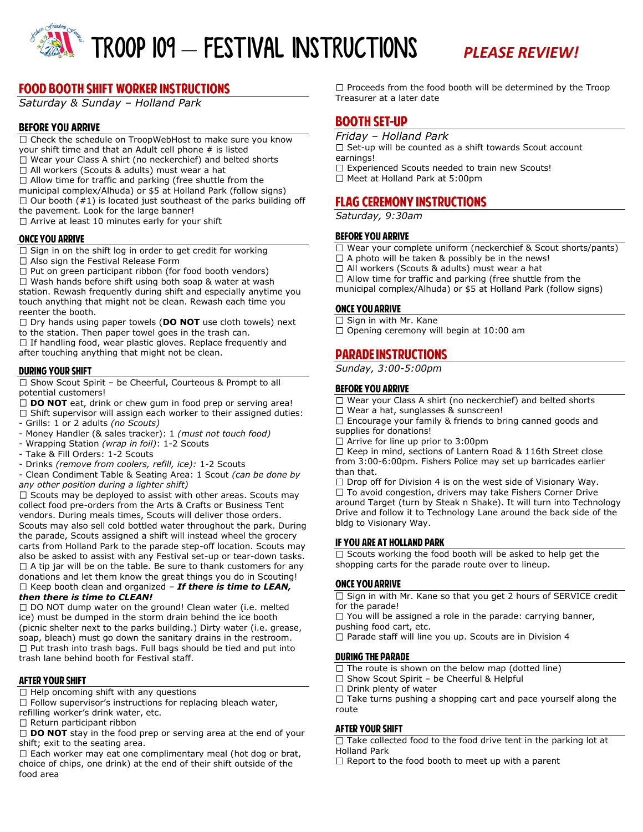

# **FOOD BOOTH SHIFT WORKER INSTRUCTIONS**

*Saturday & Sunday – Holland Park* 

## **BEFORE YOU ARRIVE**

 $\Box$  Check the schedule on TroopWebHost to make sure you know your shift time and that an Adult cell phone # is listed  $\Box$  Wear your Class A shirt (no neckerchief) and belted shorts □ All workers (Scouts & adults) must wear a hat  $\Box$  Allow time for traffic and parking (free shuttle from the municipal complex/Alhuda) or \$5 at Holland Park (follow signs)  $\Box$  Our booth  $(\#1)$  is located just southeast of the parks building off the pavement. Look for the large banner!  $\Box$  Arrive at least 10 minutes early for your shift

#### **ONCE YOU ARRIVE**

 $\Box$  Sign in on the shift log in order to get credit for working

□ Also sign the Festival Release Form

 $\Box$  Put on green participant ribbon (for food booth vendors)  $\Box$  Wash hands before shift using both soap & water at wash station. Rewash frequently during shift and especially anytime you touch anything that might not be clean. Rewash each time you reenter the booth.

□ Dry hands using paper towels (DO NOT use cloth towels) next to the station. Then paper towel goes in the trash can.  $\Box$  If handling food, wear plastic gloves. Replace frequently and

after touching anything that might not be clean.

## **DURING YOUR SHIFT**

 $\Box$  Show Scout Spirit – be Cheerful, Courteous & Prompt to all potential customers!

□ **DO NOT** eat, drink or chew gum in food prep or serving area!  $\Box$  Shift supervisor will assign each worker to their assigned duties:

- Grills: 1 or 2 adults *(no Scouts)* 

- Money Handler (& sales tracker): 1 *(must not touch food)*
- Wrapping Station *(wrap in foil)*: 1-2 Scouts
- Take & Fill Orders: 1-2 Scouts
- Drinks *(remove from coolers, refill, ice):* 1-2 Scouts

- Clean Condiment Table & Seating Area: 1 Scout *(can be done by any other position during a lighter shift)* 

 $\square$  Scouts may be deployed to assist with other areas. Scouts may collect food pre-orders from the Arts & Crafts or Business Tent vendors. During meals times, Scouts will deliver those orders. Scouts may also sell cold bottled water throughout the park. During the parade, Scouts assigned a shift will instead wheel the grocery carts from Holland Park to the parade step-off location. Scouts may also be asked to assist with any Festival set-up or tear-down tasks.  $\Box$  A tip jar will be on the table. Be sure to thank customers for any donations and let them know the great things you do in Scouting! □ Keep booth clean and organized – **If there is time to LEAN,** *then there is time to CLEAN!* 

 $\Box$  DO NOT dump water on the ground! Clean water (i.e. melted ice) must be dumped in the storm drain behind the ice booth (picnic shelter next to the parks building.) Dirty water (i.e. grease, soap, bleach) must go down the sanitary drains in the restroom.  $\Box$  Put trash into trash bags. Full bags should be tied and put into trash lane behind booth for Festival staff.

## **AFTER YOUR SHIFT**

 $\Box$  Help oncoming shift with any questions

 $\Box$  Follow supervisor's instructions for replacing bleach water,

refilling worker's drink water, etc.

 $\Box$  Return participant ribbon

□ **DO NOT** stay in the food prep or serving area at the end of your shift; exit to the seating area.

 $\Box$  Each worker may eat one complimentary meal (hot dog or brat, choice of chips, one drink) at the end of their shift outside of the food area

 $\Box$  Proceeds from the food booth will be determined by the Troop Treasurer at a later date

# **BOOTH SET-UP**

*Friday – Holland Park* 

 $\Box$  Set-up will be counted as a shift towards Scout account earnings!

- □ Experienced Scouts needed to train new Scouts!
- $\Box$  Meet at Holland Park at 5:00pm

# **FLAG CEREMONY INSTRUCTIONS**

*Saturday, 9:30am*

## **BEFORE YOU ARRIVE**

- □ Wear your complete uniform (neckerchief & Scout shorts/pants)
- $\square$  A photo will be taken & possibly be in the news!
- $\Box$  All workers (Scouts & adults) must wear a hat

 $\Box$  Allow time for traffic and parking (free shuttle from the

municipal complex/Alhuda) or \$5 at Holland Park (follow signs)

## **ONCE YOU ARRIVE**

 $\Box$  Sign in with Mr. Kane

 $\Box$  Opening ceremony will begin at 10:00 am

# **PARADE INSTRUCTIONS**

*Sunday, 3:00-5:00pm* 

#### **BEFORE YOU ARRIVE**

- $\Box$  Wear your Class A shirt (no neckerchief) and belted shorts
- □ Wear a hat, sunglasses & sunscreen!

 $\Box$  Encourage your family & friends to bring canned goods and supplies for donations!

 $\Box$  Arrive for line up prior to 3:00pm

 $\Box$  Keep in mind, sections of Lantern Road & 116th Street close from 3:00-6:00pm. Fishers Police may set up barricades earlier than that.

 $\Box$  Drop off for Division 4 is on the west side of Visionary Way.  $\Box$  To avoid congestion, drivers may take Fishers Corner Drive around Target (turn by Steak n Shake). It will turn into Technology Drive and follow it to Technology Lane around the back side of the bldg to Visionary Way.

#### IF YOU ARE AT HOLLAND PARK

 $\Box$  Scouts working the food booth will be asked to help get the shopping carts for the parade route over to lineup.

#### **ONCE YOU ARRIVE**

 $\Box$  Sign in with Mr. Kane so that you get 2 hours of SERVICE credit for the parade!

 $\Box$  You will be assigned a role in the parade: carrying banner, pushing food cart, etc.

 $\Box$  Parade staff will line you up. Scouts are in Division 4

## **DURING THE PARADE**

 $\Box$  The route is shown on the below map (dotted line)

 $\Box$  Show Scout Spirit – be Cheerful & Helpful

 $\Box$  Drink plenty of water

 $\Box$  Take turns pushing a shopping cart and pace yourself along the route

## **AFTER YOUR SHIFT**

 $\Box$  Take collected food to the food drive tent in the parking lot at Holland Park

 $\Box$  Report to the food booth to meet up with a parent